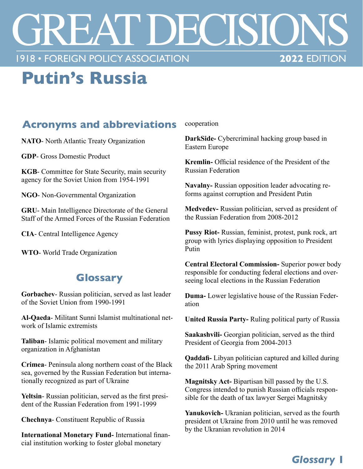# REAT DECISIONS **1918 • FOREIGN POLICY ASSOCIATION**

## **Putin's Russia**

#### **Acronyms and abbreviations**

**NATO**- North Atlantic Treaty Organization

**GDP**- Gross Domestic Product

**KGB**- Committee for State Security, main security agency for the Soviet Union from 1954-1991

**NGO**- Non-Governmental Organization

**GRU**- Main Intelligence Directorate of the General Staff of the Armed Forces of the Russian Federation

**CIA**- Central Intelligence Agency

**WTO**- World Trade Organization

#### **Glossary**

**Gorbachev**- Russian politician, served as last leader of the Soviet Union from 1990-1991

**Al-Qaeda**- Militant Sunni Islamist multinational network of Islamic extremists

**Taliban**- Islamic political movement and military organization in Afghanistan

**Crimea**- Peninsula along northern coast of the Black sea, governed by the Russian Federation but internationally recognized as part of Ukraine

**Yeltsin**- Russian politician, served as the first president of the Russian Federation from 1991-1999

**Chechnya**- Constituent Republic of Russia

**International Monetary Fund-** International financial institution working to foster global monetary

cooperation

**DarkSide-** Cybercriminal hacking group based in Eastern Europe

**Kremlin-** Official residence of the President of the Russian Federation

**Navalny-** Russian opposition leader advocating reforms against corruption and President Putin

**Medvedev-** Russian politician, served as president of the Russian Federation from 2008-2012

**Pussy Riot-** Russian, feminist, protest, punk rock, art group with lyrics displaying opposition to President Putin

**Central Electoral Commission-** Superior power body responsible for conducting federal elections and overseeing local elections in the Russian Federation

**Duma-** Lower legislative house of the Russian Federation

**United Russia Party-** Ruling political party of Russia

**Saakashvili-** Georgian politician, served as the third President of Georgia from 2004-2013

**Qaddafi-** Libyan politician captured and killed during the 2011 Arab Spring movement

**Magnitsky Act-** Bipartisan bill passed by the U.S. Congress intended to punish Russian officials responsible for the death of tax lawyer Sergei Magnitsky

**Yanukovich-** Ukranian politician, served as the fourth president ot Ukraine from 2010 until he was removed by the Ukranian revolution in 2014

### *Glossary* **1**